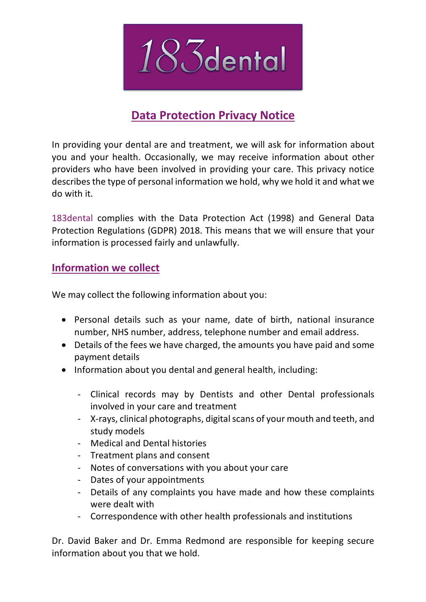

# **Data Protection Privacy Notice**

In providing your dental are and treatment, we will ask for information about you and your health. Occasionally, we may receive information about other providers who have been involved in providing your care. This privacy notice describes the type of personal information we hold, why we hold it and what we do with it.

183dental complies with the Data Protection Act (1998) and General Data Protection Regulations (GDPR) 2018. This means that we will ensure that your information is processed fairly and unlawfully.

## **Information we collect**

We may collect the following information about you:

- Personal details such as your name, date of birth, national insurance number, NHS number, address, telephone number and email address.
- Details of the fees we have charged, the amounts you have paid and some payment details
- Information about you dental and general health, including:
	- Clinical records may by Dentists and other Dental professionals involved in your care and treatment
	- X-rays, clinical photographs, digital scans of your mouth and teeth, and study models
	- Medical and Dental histories
	- Treatment plans and consent
	- Notes of conversations with you about your care
	- Dates of your appointments
	- Details of any complaints you have made and how these complaints were dealt with
	- Correspondence with other health professionals and institutions

Dr. David Baker and Dr. Emma Redmond are responsible for keeping secure information about you that we hold.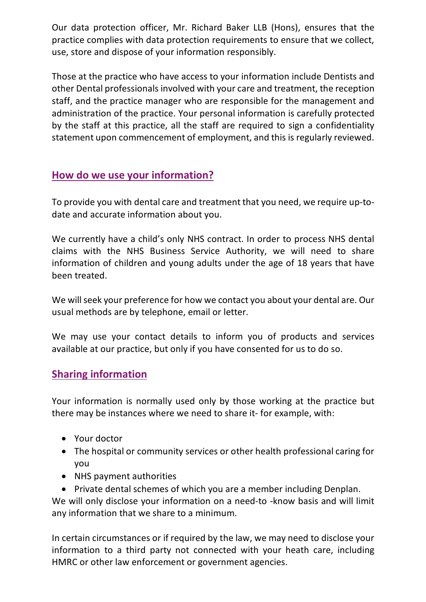Our data protection officer, Mr. Richard Baker LLB (Hons), ensures that the practice complies with data protection requirements to ensure that we collect, use, store and dispose of your information responsibly.

Those at the practice who have access to your information include Dentists and other Dental professionals involved with your care and treatment, the reception staff, and the practice manager who are responsible for the management and administration of the practice. Your personal information is carefully protected by the staff at this practice, all the staff are required to sign a confidentiality statement upon commencement of employment, and this is regularly reviewed.

# **How do we use your information?**

To provide you with dental care and treatment that you need, we require up-todate and accurate information about you.

We currently have a child's only NHS contract. In order to process NHS dental claims with the NHS Business Service Authority, we will need to share information of children and young adults under the age of 18 years that have been treated.

We will seek your preference for how we contact you about your dental are. Our usual methods are by telephone, email or letter.

We may use your contact details to inform you of products and services available at our practice, but only if you have consented for us to do so.

#### **Sharing information**

Your information is normally used only by those working at the practice but there may be instances where we need to share it- for example, with:

- Your doctor
- The hospital or community services or other health professional caring for you
- NHS payment authorities
- Private dental schemes of which you are a member including Denplan.

We will only disclose your information on a need-to -know basis and will limit any information that we share to a minimum.

In certain circumstances or if required by the law, we may need to disclose your information to a third party not connected with your heath care, including HMRC or other law enforcement or government agencies.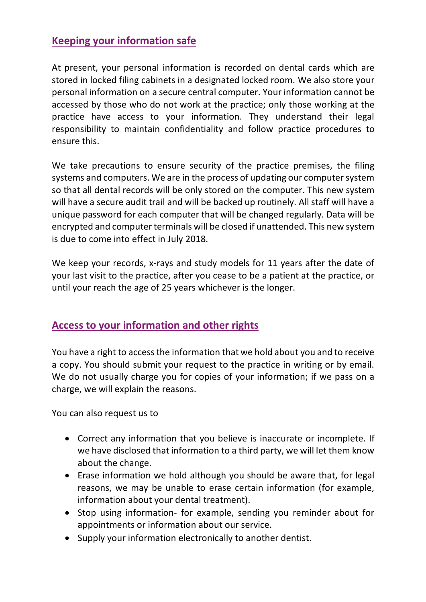#### **Keeping your information safe**

At present, your personal information is recorded on dental cards which are stored in locked filing cabinets in a designated locked room. We also store your personal information on a secure central computer. Your information cannot be accessed by those who do not work at the practice; only those working at the practice have access to your information. They understand their legal responsibility to maintain confidentiality and follow practice procedures to ensure this.

We take precautions to ensure security of the practice premises, the filing systems and computers. We are in the process of updating our computer system so that all dental records will be only stored on the computer. This new system will have a secure audit trail and will be backed up routinely. All staff will have a unique password for each computer that will be changed regularly. Data will be encrypted and computer terminals will be closed if unattended. This new system is due to come into effect in July 2018.

We keep your records, x-rays and study models for 11 years after the date of your last visit to the practice, after you cease to be a patient at the practice, or until your reach the age of 25 years whichever is the longer.

#### **Access to your information and other rights**

You have a right to access the information that we hold about you and to receive a copy. You should submit your request to the practice in writing or by email. We do not usually charge you for copies of your information; if we pass on a charge, we will explain the reasons.

You can also request us to

- Correct any information that you believe is inaccurate or incomplete. If we have disclosed that information to a third party, we will let them know about the change.
- Erase information we hold although you should be aware that, for legal reasons, we may be unable to erase certain information (for example, information about your dental treatment).
- Stop using information- for example, sending you reminder about for appointments or information about our service.
- Supply your information electronically to another dentist.